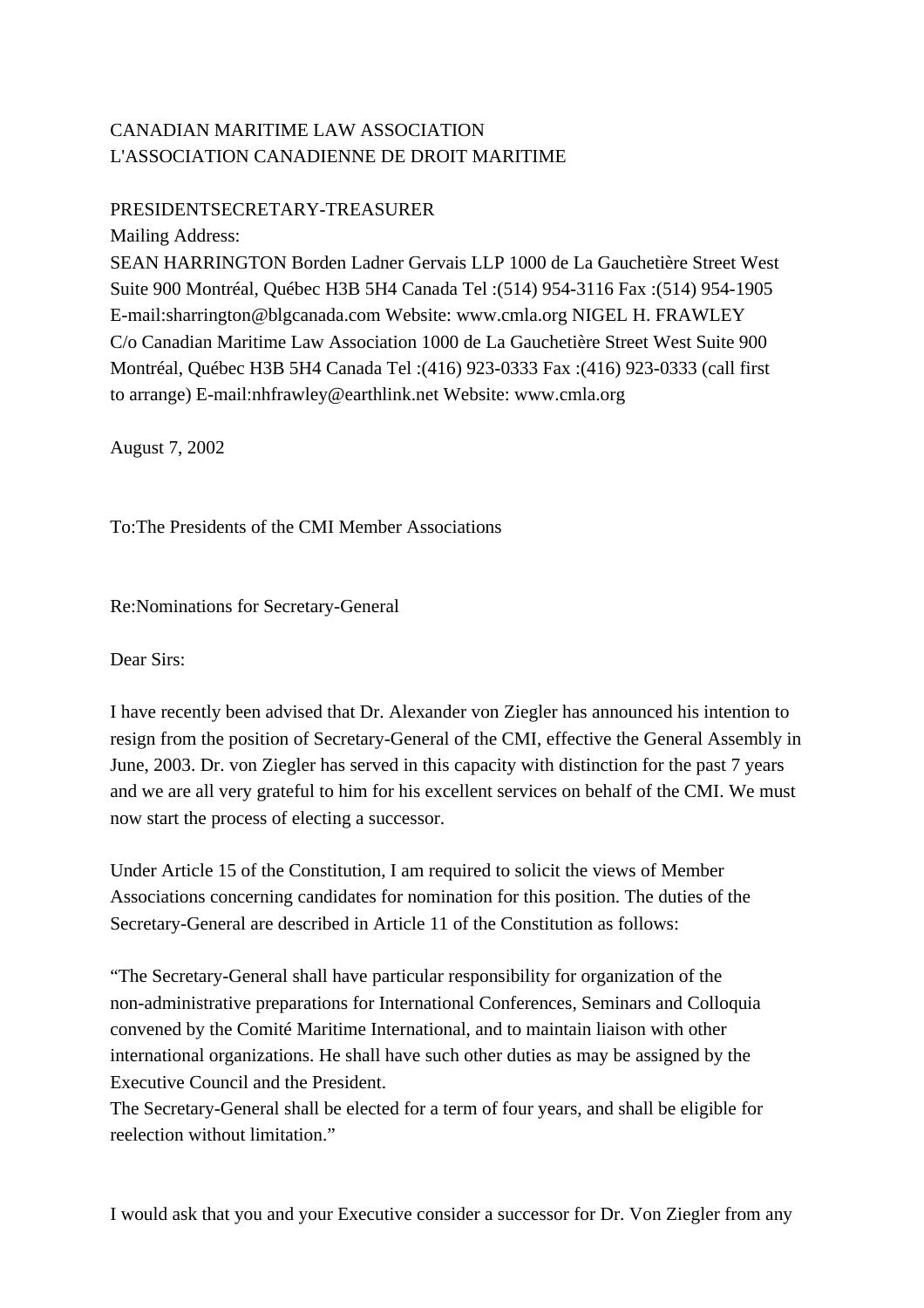## CANADIAN MARITIME LAW ASSOCIATION L'ASSOCIATION CANADIENNE DE DROIT MARITIME

## PRESIDENT SECRETARY-TREASURER

Mailing Address: SEAN HARRINGTON Borden Ladner Gervais LLP 1000 de La Gauchetière Street West Suite 900 Montréal, Québec H3B 5H4 Canada Tel : (514) 954-3116 Fax : (514) 954-1905 E-mail: sharrington@blgcanada.com Website: www.cmla.org NIGEL H. FRAWLEY C/o Canadian Maritime Law Association 1000 de La Gauchetière Street West Suite 900 Montréal, Québec H3B 5H4 Canada Tel : (416) 923-0333 Fax : (416) 923-0333 (call first to arrange) E-mail: nhfrawley@earthlink.net Website: www.cmla.org

August 7, 2002

To: The Presidents of the CMI Member Associations

Re: Nominations for Secretary-General

Dear Sirs:

I have recently been advised that Dr. Alexander von Ziegler has announced his intention to resign from the position of Secretary-General of the CMI, effective the General Assembly in June, 2003. Dr. von Ziegler has served in this capacity with distinction for the past 7 years and we are all very grateful to him for his excellent services on behalf of the CMI. We must now start the process of electing a successor.

Under Article 15 of the Constitution, I am required to solicit the views of Member Associations concerning candidates for nomination for this position. The duties of the Secretary-General are described in Article 11 of the Constitution as follows:

" The Secretary-General shall have particular responsibility for organization of the non-administrative preparations for International Conferences, Seminars and Colloquia convened by the Comité Maritime International, and to maintain liaison with other international organizations. He shall have such other duties as may be assigned by the Executive Council and the President.

The Secretary-General shall be elected for a term of four years, and shall be eligible for reelection without limitation."

I would ask that you and your Executive consider a successor for Dr. Von Ziegler from any